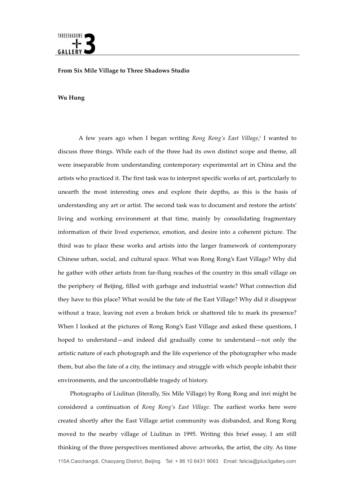

## **From Six Mile Village to Three Shadows Studio**

## **Wu Hung**

A few years ago when I began writing *Rong Rong's East Village*, <sup>i</sup> I wanted to discuss three things. While each of the three had its own distinct scope and theme, all were inseparable from understanding contemporary experimental art in China and the artists who practiced it. The first task was to interpret specific works of art, particularly to unearth the most interesting ones and explore their depths, as this is the basis of understanding any art or artist. The second task was to document and restore the artists' living and working environment at that time, mainly by consolidating fragmentary information of their lived experience, emotion, and desire into a coherent picture. The third was to place these works and artists into the larger framework of contemporary Chinese urban, social, and cultural space. What was Rong Rong's East Village? Why did he gather with other artists from far-flung reaches of the country in this small village on the periphery of Beijing, filled with garbage and industrial waste? What connection did they have to this place? What would be the fate of the East Village? Why did it disappear without a trace, leaving not even a broken brick or shattered tile to mark its presence? When I looked at the pictures of Rong Rong's East Village and asked these questions, I hoped to understand—and indeed did gradually come to understand—not only the artistic nature of each photograph and the life experience of the photographer who made them, but also the fate of a city, the intimacy and struggle with which people inhabit their environments, and the uncontrollable tragedy of history.

115A Caochangdi, Chaoyang District, Beijing Tel: + 86 10 6431 9063 Email: felicia@plus3gallery.com Photographs of Liulitun (literally, Six Mile Village) by Rong Rong and inri might be considered a continuation of *Rong Rong's East Village*. The earliest works here were created shortly after the East Village artist community was disbanded, and Rong Rong moved to the nearby village of Liulitun in 1995. Writing this brief essay, I am still thinking of the three perspectives mentioned above: artworks, the artist, the city. As time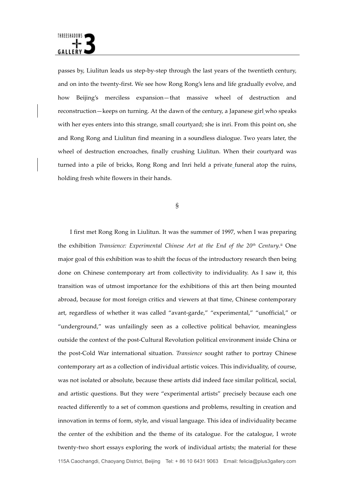passes by, Liulitun leads us step-by-step through the last years of the twentieth century, and on into the twenty-first. We see how Rong Rong's lens and life gradually evolve, and how Beijing's merciless expansion—that massive wheel of destruction and reconstruction—keeps on turning. At the dawn of the century, a Japanese girl who speaks with her eyes enters into this strange, small courtyard; she is inri. From this point on, she and Rong Rong and Liulitun find meaning in a soundless dialogue. Two years later, the wheel of destruction encroaches, finally crushing Liulitun. When their courtyard was turned into a pile of bricks, Rong Rong and Inri held a private funeral atop the ruins, holding fresh white flowers in their hands.

§

115A Caochangdi, Chaoyang District, Beijing Tel: + 86 10 6431 9063 Email: felicia@plus3gallery.com I first met Rong Rong in Liulitun. It was the summer of 1997, when I was preparing the exhibition *Transience: Experimental Chinese Art at the End of the 20<sup>th</sup> Century.<sup>ii</sup> One* major goal of this exhibition was to shift the focus of the introductory research then being done on Chinese contemporary art from collectivity to individuality. As I saw it, this transition was of utmost importance for the exhibitions of this art then being mounted abroad, because for most foreign critics and viewers at that time, Chinese contemporary art, regardless of whether it was called "avant-garde," "experimental," "unofficial," or "underground," was unfailingly seen as a collective political behavior, meaningless outside the context of the post-Cultural Revolution political environment inside China or the post-Cold War international situation. *Transience* sought rather to portray Chinese contemporary art as a collection of individual artistic voices. This individuality, of course, was not isolated or absolute, because these artists did indeed face similar political, social, and artistic questions. But they were "experimental artists" precisely because each one reacted differently to a set of common questions and problems, resulting in creation and innovation in terms of form, style, and visual language. This idea of individuality became the center of the exhibition and the theme of its catalogue. For the catalogue, I wrote twenty-two short essays exploring the work of individual artists; the material for these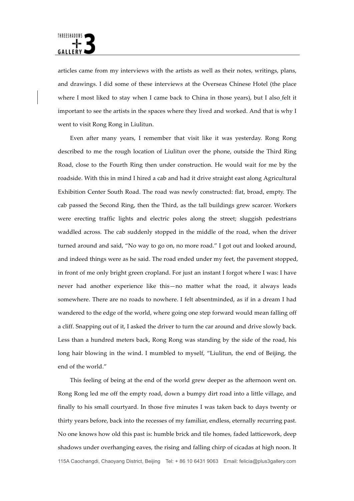articles came from my interviews with the artists as well as their notes, writings, plans, and drawings. I did some of these interviews at the Overseas Chinese Hotel (the place where I most liked to stay when I came back to China in those years), but I also felt it important to see the artists in the spaces where they lived and worked. And that is why I went to visit Rong Rong in Liulitun.

Even after many years, I remember that visit like it was yesterday. Rong Rong described to me the rough location of Liulitun over the phone, outside the Third Ring Road, close to the Fourth Ring then under construction. He would wait for me by the roadside. With this in mind I hired a cab and had it drive straight east along Agricultural Exhibition Center South Road. The road was newly constructed: flat, broad, empty. The cab passed the Second Ring, then the Third, as the tall buildings grew scarcer. Workers were erecting traffic lights and electric poles along the street; sluggish pedestrians waddled across. The cab suddenly stopped in the middle of the road, when the driver turned around and said, "No way to go on, no more road." I got out and looked around, and indeed things were as he said. The road ended under my feet, the pavement stopped, in front of me only bright green cropland. For just an instant I forgot where I was: I have never had another experience like this—no matter what the road, it always leads somewhere. There are no roads to nowhere. I felt absentminded, as if in a dream I had wandered to the edge of the world, where going one step forward would mean falling off a cliff. Snapping out of it, I asked the driver to turn the car around and drive slowly back. Less than a hundred meters back, Rong Rong was standing by the side of the road, his long hair blowing in the wind. I mumbled to myself, "Liulitun, the end of Beijing, the end of the world."

115A Caochangdi, Chaoyang District, Beijing Tel: + 86 10 6431 9063 Email: felicia@plus3gallery.com This feeling of being at the end of the world grew deeper as the afternoon went on. Rong Rong led me off the empty road, down a bumpy dirt road into a little village, and finally to his small courtyard. In those five minutes I was taken back to days twenty or thirty years before, back into the recesses of my familiar, endless, eternally recurring past. No one knows how old this past is: humble brick and tile homes, faded latticework, deep shadows under overhanging eaves, the rising and falling chirp of cicadas at high noon. It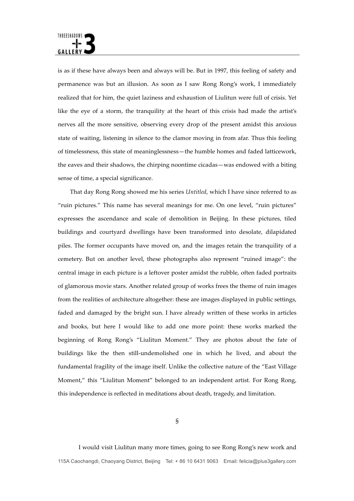is as if these have always been and always will be. But in 1997, this feeling of safety and permanence was but an illusion. As soon as I saw Rong Rong's work, I immediately realized that for him, the quiet laziness and exhaustion of Liulitun were full of crisis. Yet like the eye of a storm, the tranquility at the heart of this crisis had made the artist's nerves all the more sensitive, observing every drop of the present amidst this anxious state of waiting, listening in silence to the clamor moving in from afar. Thus this feeling of timelessness, this state of meaninglessness—the humble homes and faded latticework, the eaves and their shadows, the chirping noontime cicadas—was endowed with a biting sense of time, a special significance.

That day Rong Rong showed me his series *Untitled*, which I have since referred to as "ruin pictures." This name has several meanings for me. On one level, "ruin pictures" expresses the ascendance and scale of demolition in Beijing. In these pictures, tiled buildings and courtyard dwellings have been transformed into desolate, dilapidated piles. The former occupants have moved on, and the images retain the tranquility of a cemetery. But on another level, these photographs also represent "ruined image": the central image in each picture is a leftover poster amidst the rubble, often faded portraits of glamorous movie stars. Another related group of works frees the theme of ruin images from the realities of architecture altogether: these are images displayed in public settings, faded and damaged by the bright sun. I have already written of these works in articles and books, but here I would like to add one more point: these works marked the beginning of Rong Rong's "Liulitun Moment." They are photos about the fate of buildings like the then still-undemolished one in which he lived, and about the fundamental fragility of the image itself. Unlike the collective nature of the "East Village Moment," this "Liulitun Moment" belonged to an independent artist. For Rong Rong, this independence is reflected in meditations about death, tragedy, and limitation.

115A Caochangdi, Chaoyang District, Beijing Tel: + 86 10 6431 9063 Email: felicia@plus3gallery.com I would visit Liulitun many more times, going to see Rong Rong's new work and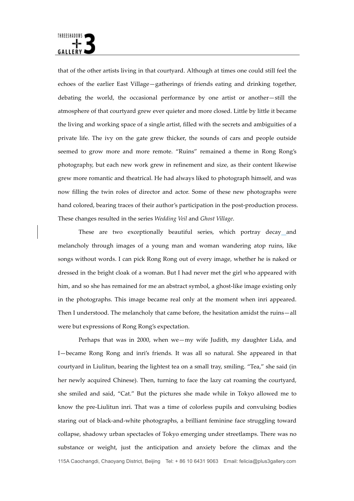

that of the other artists living in that courtyard. Although at times one could still feel the echoes of the earlier East Village—gatherings of friends eating and drinking together, debating the world, the occasional performance by one artist or another—still the atmosphere of that courtyard grew ever quieter and more closed. Little by little it became the living and working space of a single artist, filled with the secrets and ambiguities of a private life. The ivy on the gate grew thicker, the sounds of cars and people outside seemed to grow more and more remote. "Ruins" remained a theme in Rong Rong's photography, but each new work grew in refinement and size, as their content likewise grew more romantic and theatrical. He had always liked to photograph himself, and was now filling the twin roles of director and actor. Some of these new photographs were hand colored, bearing traces of their author's participation in the post-production process. These changes resulted in the series *Wedding Veil* and *Ghost Village*.

These are two exceptionally beautiful series, which portray decay and melancholy through images of a young man and woman wandering atop ruins, like songs without words. I can pick Rong Rong out of every image, whether he is naked or dressed in the bright cloak of a woman. But I had never met the girl who appeared with him, and so she has remained for me an abstract symbol, a ghost-like image existing only in the photographs. This image became real only at the moment when inri appeared. Then I understood. The melancholy that came before, the hesitation amidst the ruins—all were but expressions of Rong Rong's expectation.

115A Caochangdi, Chaoyang District, Beijing Tel: + 86 10 6431 9063 Email: felicia@plus3gallery.com Perhaps that was in 2000, when we—my wife Judith, my daughter Lida, and I—became Rong Rong and inri's friends. It was all so natural. She appeared in that courtyard in Liulitun, bearing the lightest tea on a small tray, smiling. "Tea," she said (in her newly acquired Chinese). Then, turning to face the lazy cat roaming the courtyard, she smiled and said, "Cat." But the pictures she made while in Tokyo allowed me to know the pre-Liulitun inri. That was a time of colorless pupils and convulsing bodies staring out of black-and-white photographs, a brilliant feminine face struggling toward collapse, shadowy urban spectacles of Tokyo emerging under streetlamps. There was no substance or weight, just the anticipation and anxiety before the climax and the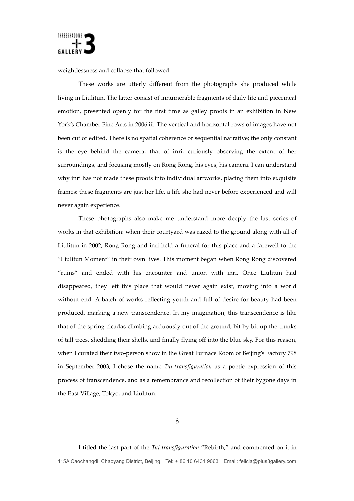weightlessness and collapse that followed.

These works are utterly different from the photographs she produced while living in Liulitun. The latter consist of innumerable fragments of daily life and piecemeal emotion, presented openly for the first time as galley proofs in an exhibition in New York's Chamber Fine Arts in 2006.iii The vertical and horizontal rows of images have not been cut or edited. There is no spatial coherence or sequential narrative; the only constant is the eye behind the camera, that of inri, curiously observing the extent of her surroundings, and focusing mostly on Rong Rong, his eyes, his camera. I can understand why inri has not made these proofs into individual artworks, placing them into exquisite frames: these fragments are just her life, a life she had never before experienced and will never again experience.

These photographs also make me understand more deeply the last series of works in that exhibition: when their courtyard was razed to the ground along with all of Liulitun in 2002, Rong Rong and inri held a funeral for this place and a farewell to the "Liulitun Moment" in their own lives. This moment began when Rong Rong discovered "ruins" and ended with his encounter and union with inri. Once Liulitun had disappeared, they left this place that would never again exist, moving into a world without end. A batch of works reflecting youth and full of desire for beauty had been produced, marking a new transcendence. In my imagination, this transcendence is like that of the spring cicadas climbing arduously out of the ground, bit by bit up the trunks of tall trees, shedding their shells, and finally flying off into the blue sky. For this reason, when I curated their two-person show in the Great Furnace Room of Beijing's Factory 798 in September 2003, I chose the name *Tui-transfiguration* as a poetic expression of this process of transcendence, and as a remembrance and recollection of their bygone days in the East Village, Tokyo, and Liulitun.

115A Caochangdi, Chaoyang District, Beijing Tel: + 86 10 6431 9063 Email: felicia@plus3gallery.com I titled the last part of the *Tui-transfiguration* "Rebirth," and commented on it in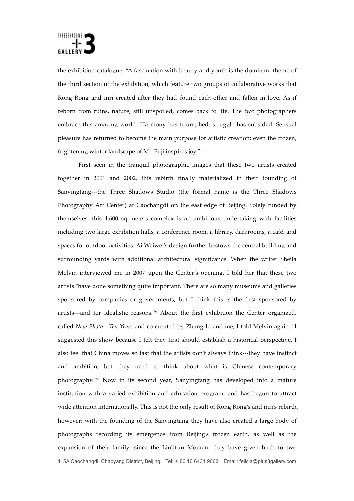the exhibition catalogue: "A fascination with beauty and youth is the dominant theme of the third section of the exhibition, which feature two groups of collaborative works that Rong Rong and inri created after they had found each other and fallen in love. As if reborn from ruins, nature, still unspoiled, comes back to life. The two photographers embrace this amazing world. Harmony has triumphed, struggle has subsided. Sensual pleasure has returned to become the main purpose for artistic creation; even the frozen, frightening winter landscape of Mt. Fuji inspires joy."iv

115A Caochangdi, Chaoyang District, Beijing Tel: + 86 10 6431 9063 Email: felicia@plus3gallery.com First seen in the tranquil photographic images that these two artists created together in 2001 and 2002, this rebirth finally materialized in their founding of Sanyingtang---the Three Shadows Studio (the formal name is the Three Shadows Photography Art Center) at Caochangdi on the east edge of Beijing. Solely funded by themselves, this 4,600 sq meters complex is an ambitious undertaking with facilities including two large exhibition halls, a conference room, a library, darkrooms, a café, and spaces for outdoor activities. Ai Weiwei's design further bestows the central building and surrounding yards with additional architectural significance. When the writer Sheila Melvin interviewed me in 2007 upon the Center's opening, I told her that these two artists "have done something quite important. There are so many museums and galleries sponsored by companies or governments, but I think this is the first sponsored by artists---and for idealistic reasons."v About the first exhibition the Center organized, called *New Photo---Ten Years* and co-curated by Zhang Li and me, I told Melvin again: "I suggested this show because I felt they first should establish a historical perspective. I also feel that China moves so fast that the artists don't always think---they have instinct and ambition, but they need to think about what is Chinese contemporary photography."vi Now in its second year, Sanyingtang has developed into a mature institution with a varied exhibition and education program, and has begun to attract wide attention internationally. This is not the only result of Rong Rong's and inri's rebirth, however: with the founding of the Sanyingtang they have also created a large body of photographs recording its emergence from Beijing's frozen earth, as well as the expansion of their family: since the Liulitun Moment they have given birth to two